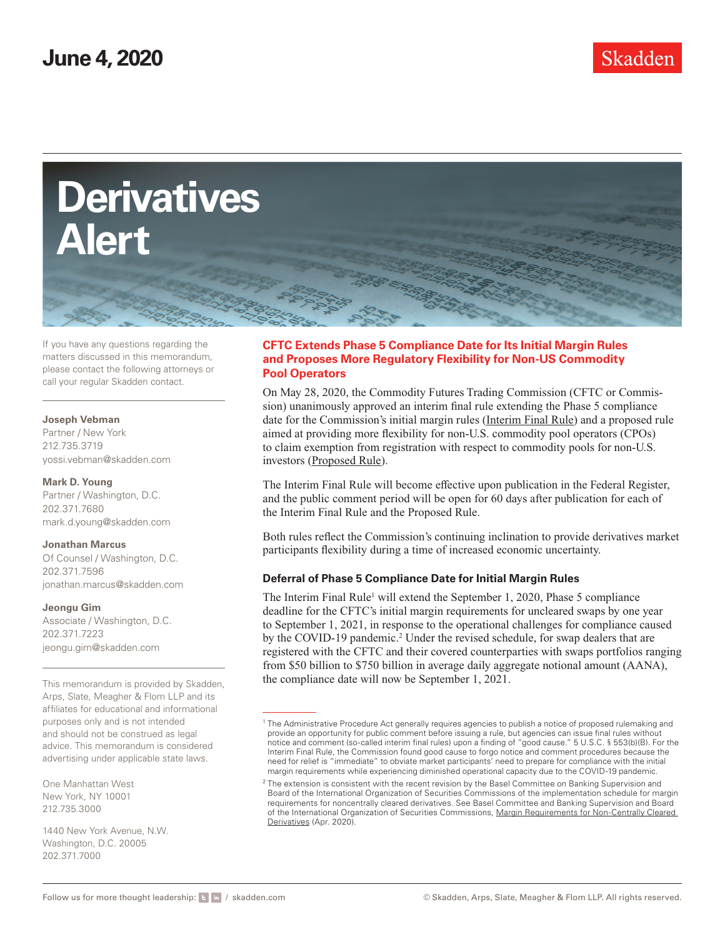



If you have any questions regarding the matters discussed in this memorandum, please contact the following attorneys or call your regular Skadden contact.

### **Joseph Vebman**

Partner / New York 212.735.3719 yossi.vebman@skadden.com

### **Mark D. Young**

Partner / Washington, D.C. 202.371.7680 mark.d.young@skadden.com

### **Jonathan Marcus**

Of Counsel / Washington, D.C. 202.371.7596 jonathan.marcus@skadden.com

**Jeongu Gim** 

Associate / Washington, D.C. 202.371.7223 jeongu.gim@skadden.com

This memorandum is provided by Skadden, Arps, Slate, Meagher & Flom LLP and its affiliates for educational and informational purposes only and is not intended and should not be construed as legal advice. This memorandum is considered advertising under applicable state laws.

One Manhattan West New York, NY 10001 212.735.3000

1440 New York Avenue, N.W. Washington, D.C. 20005 202.371.7000

## **CFTC Extends Phase 5 Compliance Date for Its Initial Margin Rules and Proposes More Regulatory Flexibility for Non-US Commodity Pool Operators**

On May 28, 2020, the Commodity Futures Trading Commission (CFTC or Commission) unanimously approved an interim final rule extending the Phase 5 compliance date for the Commission's initial margin rules (*Interim Final Rule*) and a proposed rule aimed at providing more flexibility for non-U.S. commodity pool operators (CPOs) to claim exemption from registration with respect to commodity pools for non-U.S. investors (Proposed Rule).

The Interim Final Rule will become effective upon publication in the Federal Register, and the public comment period will be open for 60 days after publication for each of the Interim Final Rule and the Proposed Rule.

Both rules reflect the Commission's continuing inclination to provide derivatives market participants flexibility during a time of increased economic uncertainty.

## **Deferral of Phase 5 Compliance Date for Initial Margin Rules**

The Interim Final Rule<sup>1</sup> will extend the September 1, 2020, Phase 5 compliance deadline for the CFTC's initial margin requirements for uncleared swaps by one year to September 1, 2021, in response to the operational challenges for compliance caused by the COVID-19 pandemic.<sup>2</sup> Under the revised schedule, for swap dealers that are registered with the CFTC and their covered counterparties with swaps portfolios ranging from \$50 billion to \$750 billion in average daily aggregate notional amount (AANA), the compliance date will now be September 1, 2021.

<sup>1</sup> The Administrative Procedure Act generally requires agencies to publish a notice of proposed rulemaking and provide an opportunity for public comment before issuing a rule, but agencies can issue final rules without notice and comment (so-called interim final rules) upon a finding of "good cause." 5 U.S.C. § 553(b)(B). For the Interim Final Rule, the Commission found good cause to forgo notice and comment procedures because the need for relief is "immediate" to obviate market participants' need to prepare for compliance with the initial margin requirements while experiencing diminished operational capacity due to the COVID-19 pandemic.

 $2$  The extension is consistent with the recent revision by the Basel Committee on Banking Supervision and Board of the International Organization of Securities Commissions of the implementation schedule for margin requirements for noncentrally cleared derivatives. See Basel Committee and Banking Supervision and Board of the International Organization of Securities Commissions, Margin Requirements for Non-Centrally Cleared Derivatives (Apr. 2020).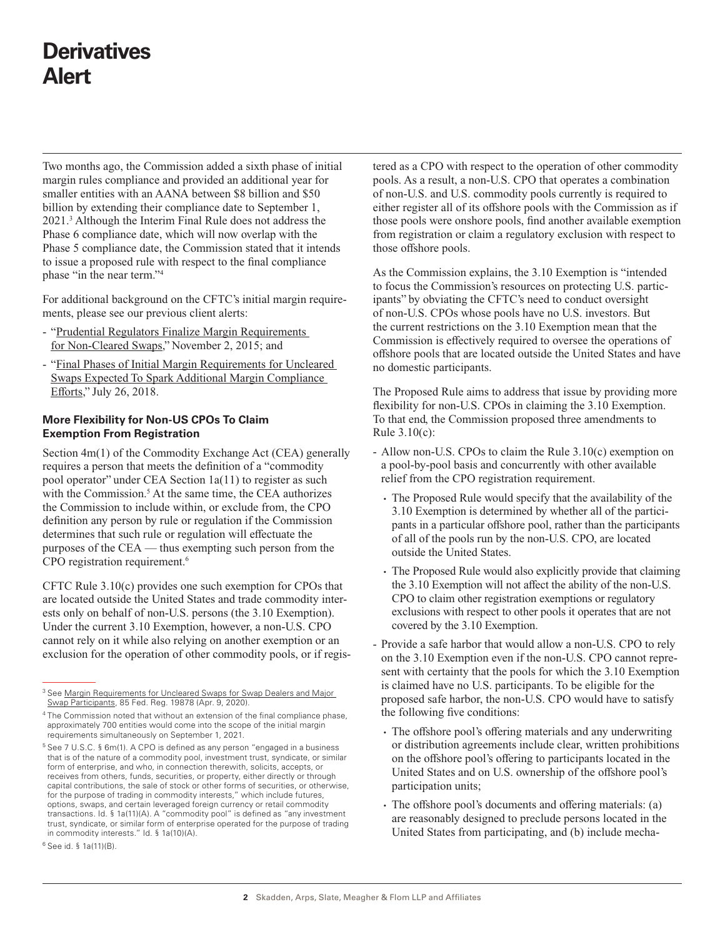# **Derivatives Alert**

Two months ago, the Commission added a sixth phase of initial margin rules compliance and provided an additional year for smaller entities with an AANA between \$8 billion and \$50 billion by extending their compliance date to September 1, 2021.3 Although the Interim Final Rule does not address the Phase 6 compliance date, which will now overlap with the Phase 5 compliance date, the Commission stated that it intends to issue a proposed rule with respect to the final compliance phase "in the near term."4

For additional background on the CFTC's initial margin requirements, please see our previous client alerts:

- "Prudential Regulators Finalize Margin Requirements for Non-Cleared Swaps," November 2, 2015; and
- "Final Phases of Initial Margin Requirements for Uncleared Swaps Expected To Spark Additional Margin Compliance Efforts," July 26, 2018.

## **More Flexibility for Non-US CPOs To Claim Exemption From Registration**

Section 4m(1) of the Commodity Exchange Act (CEA) generally requires a person that meets the definition of a "commodity pool operator" under CEA Section 1a(11) to register as such with the Commission.<sup>5</sup> At the same time, the CEA authorizes the Commission to include within, or exclude from, the CPO definition any person by rule or regulation if the Commission determines that such rule or regulation will effectuate the purposes of the CEA — thus exempting such person from the CPO registration requirement.<sup>6</sup>

CFTC Rule 3.10(c) provides one such exemption for CPOs that are located outside the United States and trade commodity interests only on behalf of non-U.S. persons (the 3.10 Exemption). Under the current 3.10 Exemption, however, a non-U.S. CPO cannot rely on it while also relying on another exemption or an exclusion for the operation of other commodity pools, or if registered as a CPO with respect to the operation of other commodity pools. As a result, a non-U.S. CPO that operates a combination of non-U.S. and U.S. commodity pools currently is required to either register all of its offshore pools with the Commission as if those pools were onshore pools, find another available exemption from registration or claim a regulatory exclusion with respect to those offshore pools.

As the Commission explains, the 3.10 Exemption is "intended to focus the Commission's resources on protecting U.S. participants" by obviating the CFTC's need to conduct oversight of non-U.S. CPOs whose pools have no U.S. investors. But the current restrictions on the 3.10 Exemption mean that the Commission is effectively required to oversee the operations of offshore pools that are located outside the United States and have no domestic participants.

The Proposed Rule aims to address that issue by providing more flexibility for non-U.S. CPOs in claiming the 3.10 Exemption. To that end, the Commission proposed three amendments to Rule 3.10(c):

- Allow non-U.S. CPOs to claim the Rule 3.10(c) exemption on a pool-by-pool basis and concurrently with other available relief from the CPO registration requirement.
	- The Proposed Rule would specify that the availability of the 3.10 Exemption is determined by whether all of the participants in a particular offshore pool, rather than the participants of all of the pools run by the non-U.S. CPO, are located outside the United States.
	- The Proposed Rule would also explicitly provide that claiming the 3.10 Exemption will not affect the ability of the non-U.S. CPO to claim other registration exemptions or regulatory exclusions with respect to other pools it operates that are not covered by the 3.10 Exemption.
- Provide a safe harbor that would allow a non-U.S. CPO to rely on the 3.10 Exemption even if the non-U.S. CPO cannot represent with certainty that the pools for which the 3.10 Exemption is claimed have no U.S. participants. To be eligible for the proposed safe harbor, the non-U.S. CPO would have to satisfy the following five conditions:
	- The offshore pool's offering materials and any underwriting or distribution agreements include clear, written prohibitions on the offshore pool's offering to participants located in the United States and on U.S. ownership of the offshore pool's participation units;
	- The offshore pool's documents and offering materials: (a) are reasonably designed to preclude persons located in the United States from participating, and (b) include mecha-

<sup>&</sup>lt;sup>3</sup> See Margin Requirements for Uncleared Swaps for Swap Dealers and Major Swap Participants, 85 Fed. Reg. 19878 (Apr. 9, 2020).

<sup>4</sup> The Commission noted that without an extension of the final compliance phase, approximately 700 entities would come into the scope of the initial margin requirements simultaneously on September 1, 2021.

<sup>5</sup> See 7 U.S.C. § 6m(1). A CPO is defined as any person "engaged in a business that is of the nature of a commodity pool, investment trust, syndicate, or similar form of enterprise, and who, in connection therewith, solicits, accepts, or receives from others, funds, securities, or property, either directly or through capital contributions, the sale of stock or other forms of securities, or otherwise, for the purpose of trading in commodity interests," which include futures, options, swaps, and certain leveraged foreign currency or retail commodity transactions. Id. § 1a(11)(A). A "commodity pool" is defined as "any investment trust, syndicate, or similar form of enterprise operated for the purpose of trading in commodity interests." Id. § 1a(10)(A).